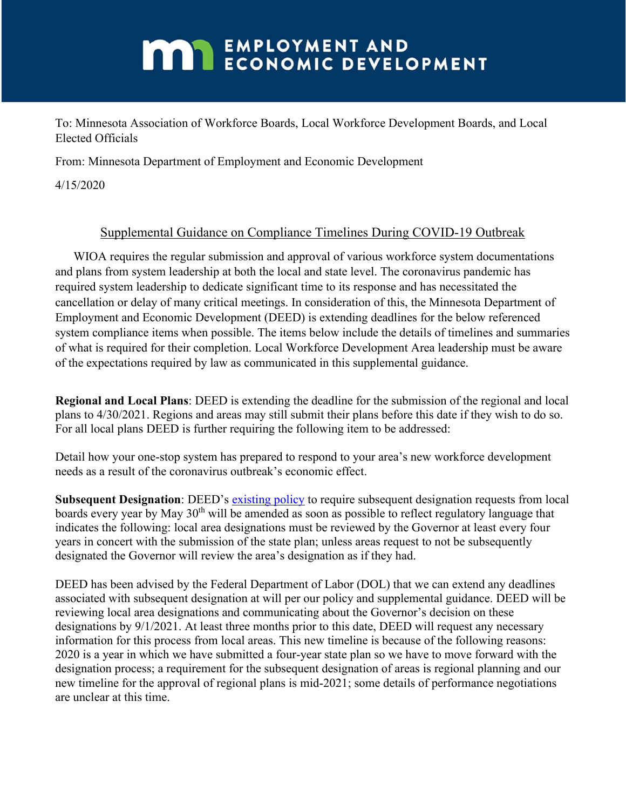## **MAN** EMPLOYMENT AND ECONOMIC DEVELOPMENT

To: Minnesota Association of Workforce Boards, Local Workforce Development Boards, and Local Elected Officials

From: Minnesota Department of Employment and Economic Development

4/15/2020

## Supplemental Guidance on Compliance Timelines During COVID-19 Outbreak

WIOA requires the regular submission and approval of various workforce system documentations and plans from system leadership at both the local and state level. The coronavirus pandemic has required system leadership to dedicate significant time to its response and has necessitated the cancellation or delay of many critical meetings. In consideration of this, the Minnesota Department of Employment and Economic Development (DEED) is extending deadlines for the below referenced system compliance items when possible. The items below include the details of timelines and summaries of what is required for their completion. Local Workforce Development Area leadership must be aware of the expectations required by law as communicated in this supplemental guidance.

**Regional and Local Plans**: DEED is extending the deadline for the submission of the regional and local plans to 4/30/2021. Regions and areas may still submit their plans before this date if they wish to do so. For all local plans DEED is further requiring the following item to be addressed:

Detail how your one-stop system has prepared to respond to your area's new workforce development needs as a result of the coronavirus outbreak's economic effect.

**Subsequent Designation**: DEED's [existing policy](https://apps.deed.state.mn.us/ddp/PolicyDetail.aspx?pol=505) to require subsequent designation requests from local boards every year by May 30<sup>th</sup> will be amended as soon as possible to reflect regulatory language that indicates the following: local area designations must be reviewed by the Governor at least every four years in concert with the submission of the state plan; unless areas request to not be subsequently designated the Governor will review the area's designation as if they had.

DEED has been advised by the Federal Department of Labor (DOL) that we can extend any deadlines associated with subsequent designation at will per our policy and supplemental guidance. DEED will be reviewing local area designations and communicating about the Governor's decision on these designations by 9/1/2021. At least three months prior to this date, DEED will request any necessary information for this process from local areas. This new timeline is because of the following reasons: 2020 is a year in which we have submitted a four-year state plan so we have to move forward with the designation process; a requirement for the subsequent designation of areas is regional planning and our new timeline for the approval of regional plans is mid-2021; some details of performance negotiations are unclear at this time.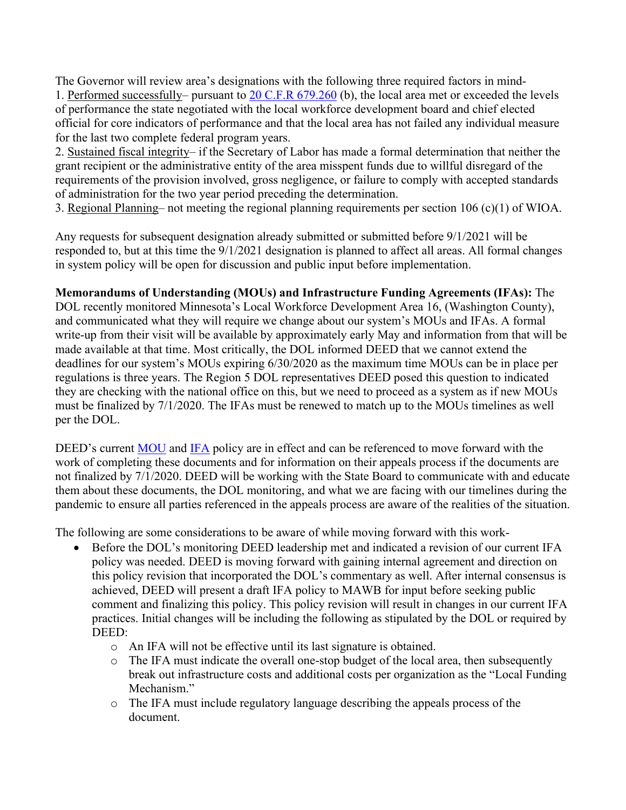The Governor will review area's designations with the following three required factors in mind-1. Performed successfully– pursuant to [20 C.F.R 679.260](https://www.law.cornell.edu/cfr/text/20/679.260) (b), the local area met or exceeded the levels of performance the state negotiated with the local workforce development board and chief elected official for core indicators of performance and that the local area has not failed any individual measure for the last two complete federal program years.

2. Sustained fiscal integrity– if the Secretary of Labor has made a formal determination that neither the grant recipient or the administrative entity of the area misspent funds due to willful disregard of the requirements of the provision involved, gross negligence, or failure to comply with accepted standards of administration for the two year period preceding the determination.

3. Regional Planning– not meeting the regional planning requirements per section 106 (c)(1) of WIOA.

Any requests for subsequent designation already submitted or submitted before 9/1/2021 will be responded to, but at this time the 9/1/2021 designation is planned to affect all areas. All formal changes in system policy will be open for discussion and public input before implementation.

## **Memorandums of Understanding (MOUs) and Infrastructure Funding Agreements (IFAs):** The

DOL recently monitored Minnesota's Local Workforce Development Area 16, (Washington County), and communicated what they will require we change about our system's MOUs and IFAs. A formal write-up from their visit will be available by approximately early May and information from that will be made available at that time. Most critically, the DOL informed DEED that we cannot extend the deadlines for our system's MOUs expiring 6/30/2020 as the maximum time MOUs can be in place per regulations is three years. The Region 5 DOL representatives DEED posed this question to indicated they are checking with the national office on this, but we need to proceed as a system as if new MOUs must be finalized by 7/1/2020. The IFAs must be renewed to match up to the MOUs timelines as well per the DOL.

DEED's current [MOU](https://apps.deed.state.mn.us/ddp/PolicyDetail.aspx?pol=473) and [IFA](https://apps.deed.state.mn.us/ddp/PolicyDetail.aspx?pol=443) policy are in effect and can be referenced to move forward with the work of completing these documents and for information on their appeals process if the documents are not finalized by 7/1/2020. DEED will be working with the State Board to communicate with and educate them about these documents, the DOL monitoring, and what we are facing with our timelines during the pandemic to ensure all parties referenced in the appeals process are aware of the realities of the situation.

The following are some considerations to be aware of while moving forward with this work-

- Before the DOL's monitoring DEED leadership met and indicated a revision of our current IFA policy was needed. DEED is moving forward with gaining internal agreement and direction on this policy revision that incorporated the DOL's commentary as well. After internal consensus is achieved, DEED will present a draft IFA policy to MAWB for input before seeking public comment and finalizing this policy. This policy revision will result in changes in our current IFA practices. Initial changes will be including the following as stipulated by the DOL or required by DEED:
	- o An IFA will not be effective until its last signature is obtained.
	- o The IFA must indicate the overall one-stop budget of the local area, then subsequently break out infrastructure costs and additional costs per organization as the "Local Funding Mechanism."
	- o The IFA must include regulatory language describing the appeals process of the document.